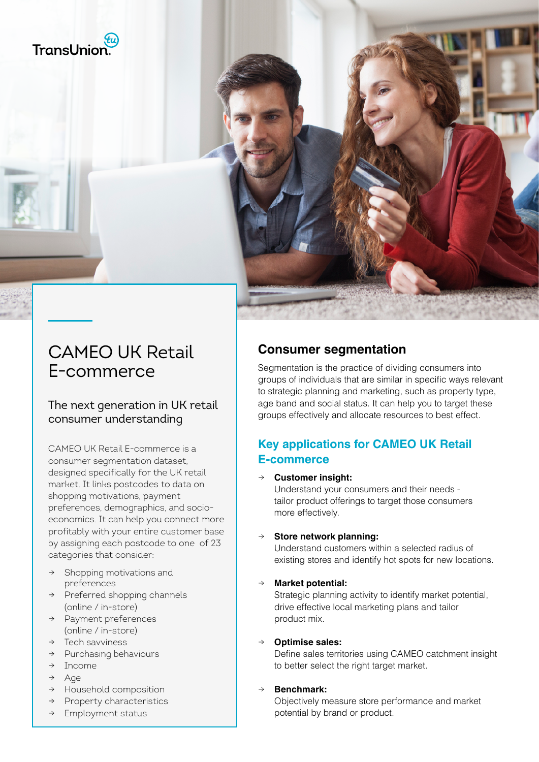



# CAMEO UK Retail E-commerce

#### The next generation in UK retail consumer understanding

CAMEO UK Retail E-commerce is a consumer segmentation dataset, designed specifically for the UK retail market. It links postcodes to data on shopping motivations, payment preferences, demographics, and socioeconomics. It can help you connect more profitably with your entire customer base by assigning each postcode to one of 23 categories that consider:

- Shopping motivations and preferences
- → Preferred shopping channels (online / in-store)
- → Payment preferences (online / in-store)
- $\rightarrow$  Tech savviness
- → Purchasing behaviours
- → Income
- → Age
- → Household composition
- → Property characteristics
- → Employment status

### **Consumer segmentation**

Segmentation is the practice of dividing consumers into groups of individuals that are similar in specific ways relevant to strategic planning and marketing, such as property type, age band and social status. It can help you to target these groups effectively and allocate resources to best effect.

#### **Key applications for CAMEO UK Retail E-commerce**

→ **Customer insight:**

Understand your consumers and their needs tailor product offerings to target those consumers more effectively.

#### **Store network planning:**

Understand customers within a selected radius of existing stores and identify hot spots for new locations.

**Market potential:** 

Strategic planning activity to identify market potential, drive effective local marketing plans and tailor product mix.

#### → **Optimise sales:**

Define sales territories using CAMEO catchment insight to better select the right target market.

#### Benchmark:

Objectively measure store performance and market potential by brand or product.